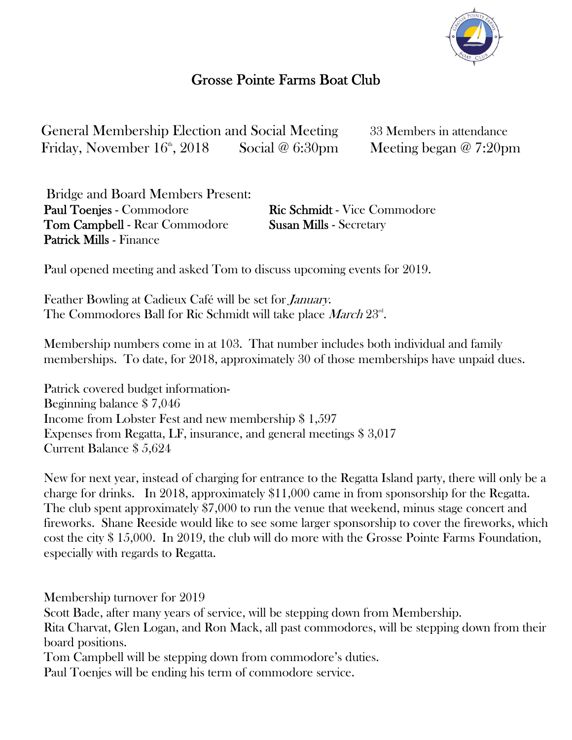

## Grosse Pointe Farms Boat Club

General Membership Election and Social Meeting 33 Members in attendance Friday, November  $16^{\circ}$ , 2018 Social @ 6:30pm Meeting began @ 7:20pm

Bridge and Board Members Present: Paul Toenjes - Commodore Ric Schmidt - Vice Commodore **Tom Campbell - Rear Commodore Susan Mills - Secretary** Patrick Mills - Finance

Paul opened meeting and asked Tom to discuss upcoming events for 2019.

Feather Bowling at Cadieux Café will be set for *January*. The Commodores Ball for Ric Schmidt will take place March 23<sup>rd</sup>.

Membership numbers come in at 103. That number includes both individual and family memberships. To date, for 2018, approximately 30 of those memberships have unpaid dues.

Patrick covered budget information-Beginning balance \$ 7,046 Income from Lobster Fest and new membership \$ 1,597 Expenses from Regatta, LF, insurance, and general meetings \$ 3,017 Current Balance \$ 5,624

New for next year, instead of charging for entrance to the Regatta Island party, there will only be a charge for drinks. In 2018, approximately \$11,000 came in from sponsorship for the Regatta. The club spent approximately \$7,000 to run the venue that weekend, minus stage concert and fireworks. Shane Reeside would like to see some larger sponsorship to cover the fireworks, which cost the city \$ 15,000. In 2019, the club will do more with the Grosse Pointe Farms Foundation, especially with regards to Regatta.

Membership turnover for 2019

Scott Bade, after many years of service, will be stepping down from Membership.

Rita Charvat, Glen Logan, and Ron Mack, all past commodores, will be stepping down from their board positions.

Tom Campbell will be stepping down from commodore's duties.

Paul Toenjes will be ending his term of commodore service.